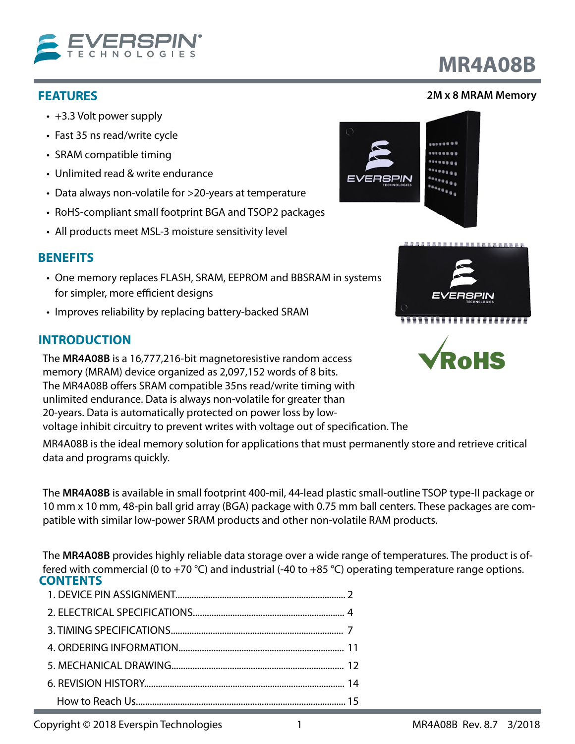

## **FEATURES**

- +3.3 Volt power supply
- Fast 35 ns read/write cycle
- SRAM compatible timing
- Unlimited read & write endurance
- Data always non-volatile for >20-years at temperature
- RoHS-compliant small footprint BGA and TSOP2 packages
- All products meet MSL-3 moisture sensitivity level

## **BENEFITS**

- One memory replaces FLASH, SRAM, EEPROM and BBSRAM in systems for simpler, more efficient designs
- Improves reliability by replacing battery-backed SRAM

## **INTRODUCTION**

The **MR4A08B** is a 16,777,216-bit magnetoresistive random access memory (MRAM) device organized as 2,097,152 words of 8 bits. The MR4A08B offers SRAM compatible 35ns read/write timing with unlimited endurance. Data is always non-volatile for greater than 20-years. Data is automatically protected on power loss by lowvoltage inhibit circuitry to prevent writes with voltage out of specification. The

MR4A08B is the ideal memory solution for applications that must permanently store and retrieve critical data and programs quickly.

The **MR4A08B** is available in small footprint 400-mil, 44-lead plastic small-outline TSOP type-II package or 10 mm x 10 mm, 48-pin ball grid array (BGA) package with 0.75 mm ball centers. These packages are compatible with similar low-power SRAM products and other non-volatile RAM products.

The **MR4A08B** provides highly reliable data storage over a wide range of temperatures. The product is offered with commercial (0 to +70 °C) and industrial (-40 to +85 °C) operating temperature range options. **CONTENTS**

## **2M x 8 MRAM Memory**

**MR4A08B**





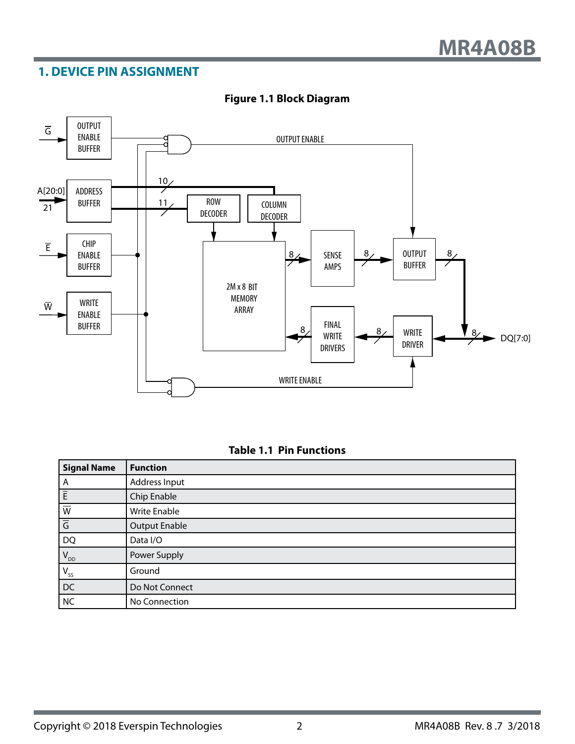## <span id="page-1-0"></span>**1. DEVICE PIN ASSIGNMENT**



#### **Figure 1.1 Block Diagram**

#### **Table 1.1 Pin Functions**

| Signal Name                         | <b>Function</b>      |
|-------------------------------------|----------------------|
| A                                   | Address Input        |
| $\frac{\overline{E}}{\overline{W}}$ | Chip Enable          |
|                                     | Write Enable         |
| $\overline{G}$                      | <b>Output Enable</b> |
| DQ                                  | Data I/O             |
| $V_{DD}$                            | Power Supply         |
| $V_{ss}$                            | Ground               |
| DC                                  | Do Not Connect       |
| NC                                  | No Connection        |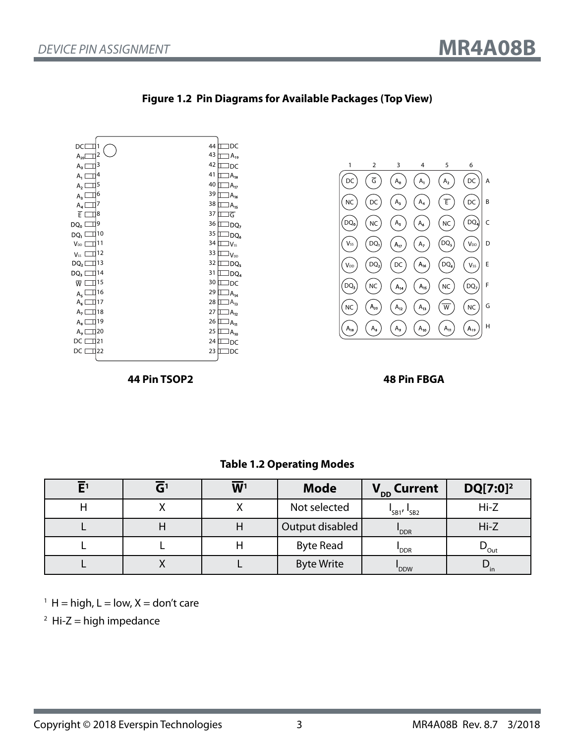

#### **Figure 1.2 Pin Diagrams for Available Packages (Top View)**

**44 Pin TSOP2 48 Pin FBGA**

 $\begin{pmatrix} A_{12} \end{pmatrix}$   $\begin{pmatrix} A_{13} \end{pmatrix}$ 

NC  $(A_{20})$   $(A_{12})$   $(A_{13})$   $(\overline{W})$   $(NC)|$  G

1 2 3 4 5 6

 $DC$   $\overline{G}$   $\overline{A_0}$   $\overline{A_1}$   $\overline{A_2}$ 

 $\left(\overline{DC}\right)$ 

 $(A<sub>17</sub>)$ 

 $(DQ_0)$   $(NC)$   $(A_5)$ 

 $\left(\begin{matrix} 0 & A_3 \end{matrix}\right)$ 

 $\left(\overline{DQ_{1}}\right)$ 

 $A_8$ 

**20**

 $\widehat{\mathsf{V}_{ss}}$ 

 $\widehat{N}$ 

 $\begin{pmatrix} 0 \\ 0 \\ 0 \end{pmatrix}$ 

DQ**<sup>3</sup>**

 $A_{18}$ 

 $\overline{\overline{G}}$   $\overline{(A_0)}$   $\overline{(A_1)}$   $\overline{(A_2)}$   $\overline{(DC)}$  A

 $(A<sub>6</sub>)$   $(NC)$ 

 $\begin{array}{|c|c|c|c|} \hline \text{DQ}_2 & \text{DCC} & \text{A}_{16} & \text{DQ}_6 & \text{V}_{SS} \\\hline \end{array} \left| \begin{array}{c} \text{E} \\ \text{E} \end{array} \right.$ 

 $\left(\begin{matrix} A_7 \end{matrix}\right)$ 

 $(NC)$   $(A_{14})$   $(A_{15})$   $(NC)$   $(DQ_{7})$   $F$ 

 $\begin{array}{cc} A_4 \end{array}$   $\begin{array}{cc} \overline{E} \end{array}$   $\begin{array}{cc} \overline{DC} \end{array}$  B

 $\left[\begin{matrix} 0 & 0 \\ 0 & 0 \\ 0 & 0 \end{matrix}\right]$  C

 $\left(\bigvee_{DD}\right)$  D

 $\left(A_{19}\right)$ 

 $(DQ<sub>5</sub>)$ 

 $\left(\overline{DQ_6}\right)$ 

 $(nC)$ 

 $(A_9)$   $(A_{10})$   $(A_{11})$   $(A_{19})$   $H$ 

| $E^1$ | GI | W <sup>1</sup> | <b>Mode</b>       | V <sub>DD</sub> Current           | $DQ[7:0]^2$                       |
|-------|----|----------------|-------------------|-----------------------------------|-----------------------------------|
|       |    |                | Not selected      | $\frac{1}{5B1}$ / $\frac{1}{5B2}$ | $Hi-Z$                            |
|       |    | Η              | Output disabled   | 'DDR                              | $Hi-Z$                            |
|       |    |                | <b>Byte Read</b>  | DDR <sup>'</sup>                  | $\boldsymbol{\nu}_{\mathsf{Out}}$ |
|       |    |                | <b>Byte Write</b> | 'DDW                              | ์ in                              |

#### **Table 1.2 Operating Modes**

 $<sup>1</sup>$  H = high, L = low, X = don't care</sup>

 $2$  Hi-Z = high impedance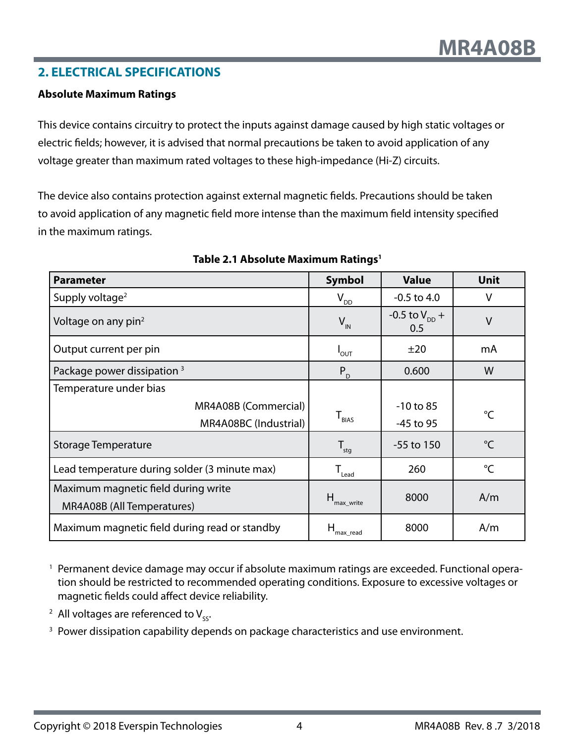## <span id="page-3-0"></span>**2. ELECTRICAL SPECIFICATIONS**

#### **Absolute Maximum Ratings**

This device contains circuitry to protect the inputs against damage caused by high static voltages or electric fields; however, it is advised that normal precautions be taken to avoid application of any voltage greater than maximum rated voltages to these high-impedance (Hi-Z) circuits.

The device also contains protection against external magnetic fields. Precautions should be taken to avoid application of any magnetic field more intense than the maximum field intensity specified in the maximum ratings.

| <b>Parameter</b>                              | <b>Symbol</b>                                   | <b>Value</b>                     | <b>Unit</b>     |
|-----------------------------------------------|-------------------------------------------------|----------------------------------|-----------------|
| Supply voltage <sup>2</sup>                   | $V_{DD}$                                        | $-0.5$ to 4.0                    | ٧               |
| Voltage on any pin <sup>2</sup>               | $V_{\text{IN}}$                                 | -0.5 to $V_{\text{DD}}$ +<br>0.5 | $\vee$          |
| Output current per pin                        | $I_{\text{OUT}}$                                | ±20                              | mA              |
| Package power dissipation <sup>3</sup>        | $P_{D}$                                         | 0.600                            | W               |
| Temperature under bias                        |                                                 |                                  |                 |
| MR4A08B (Commercial)                          |                                                 | $-10$ to 85                      | °C              |
| MR4A08BC (Industrial)                         | $\mathsf{T}_{\scriptscriptstyle\mathsf{BIAS}}$  | -45 to 95                        |                 |
| Storage Temperature                           | $\mathsf{T}_{\mathsf{stg}}$                     | $-55$ to 150                     | $\rm ^{\circ}C$ |
| Lead temperature during solder (3 minute max) | $\mathsf{T}_{\scriptscriptstyle \mathsf{lead}}$ | 260                              | $^{\circ}C$     |
| Maximum magnetic field during write           |                                                 | 8000                             | A/m             |
| MR4A08B (All Temperatures)                    | $H_{\text{max\_write}}$                         |                                  |                 |
| Maximum magnetic field during read or standby | н<br>'max read                                  | 8000                             | A/m             |

#### **Table 2.1 Absolute Maximum Ratings1**

<sup>1</sup> Permanent device damage may occur if absolute maximum ratings are exceeded. Functional operation should be restricted to recommended operating conditions. Exposure to excessive voltages or magnetic fields could affect device reliability.

<sup>2</sup> All voltages are referenced to  $V_{\rm sc}$ .

<sup>3</sup> Power dissipation capability depends on package characteristics and use environment.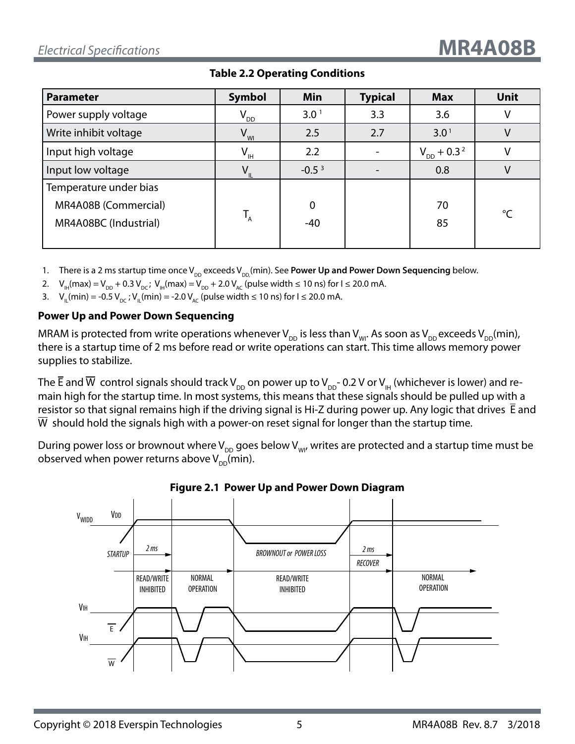| <b>Parameter</b>       | <b>Symbol</b>   | <b>Min</b>       | <b>Typical</b> | <b>Max</b>                  | <b>Unit</b>  |
|------------------------|-----------------|------------------|----------------|-----------------------------|--------------|
| Power supply voltage   | $V_{\rho \rho}$ | 3.0 <sup>1</sup> | 3.3            | 3.6                         | v            |
| Write inhibit voltage  | $V_{Wl}$        | 2.5              | 2.7            | 3.0 <sup>1</sup>            |              |
| Input high voltage     | $V_{\text{H}}$  | 2.2              |                | $V_{DD}$ + 0.3 <sup>2</sup> | $\mathsf{V}$ |
| Input low voltage      | $V_{\parallel}$ | $-0.53$          |                | 0.8                         | V            |
| Temperature under bias |                 |                  |                |                             |              |
| MR4A08B (Commercial)   |                 | $\mathbf 0$      |                | 70                          | °C           |
| MR4A08BC (Industrial)  | $T_{A}$         | $-40$            |                | 85                          |              |
|                        |                 |                  |                |                             |              |

#### **Table 2.2 Operating Conditions**

- 1. There is a 2 ms startup time once V<sub>DD</sub> exceeds V<sub>DD</sub>,(min). See **Power Up and Power Down Sequencing** below.
- 2.  $V_{\text{H}}(\text{max}) = V_{\text{DD}} + 0.3 V_{\text{DC}}$ ;  $V_{\text{H}}(\text{max}) = V_{\text{DD}} + 2.0 V_{\text{AC}}$  (pulse width  $\leq 10$  ns) for  $I \leq 20.0$  mA.
- 3. V<sub>u</sub>(min) = -0.5 V<sub>pc</sub>; V<sub>u</sub>(min) = -2.0 V<sub>Ac</sub> (pulse width ≤ 10 ns) for I ≤ 20.0 mA.

#### **Power Up and Power Down Sequencing**

MRAM is protected from write operations whenever V<sub>DD</sub> is less than V<sub>WI</sub>. As soon as V<sub>DD</sub> exceeds V<sub>DD</sub>(min), there is a startup time of 2 ms before read or write operations can start. This time allows memory power supplies to stabilize.

The  $\overline{E}$  and  $\overline{W}$  control signals should track V<sub>DD</sub> on power up to V<sub>DD</sub>- 0.2 V or V<sub>H</sub> (whichever is lower) and remain high for the startup time. In most systems, this means that these signals should be pulled up with a resistor so that signal remains high if the driving signal is Hi-Z during power up. Any logic that drives E and W should hold the signals high with a power-on reset signal for longer than the startup time.

During power loss or brownout where  $V_{DD}$  goes below  $V_{WD}$ , writes are protected and a startup time must be observed when power returns above  $V_{DD}$ (min).



## **Figure 2.1 Power Up and Power Down Diagram**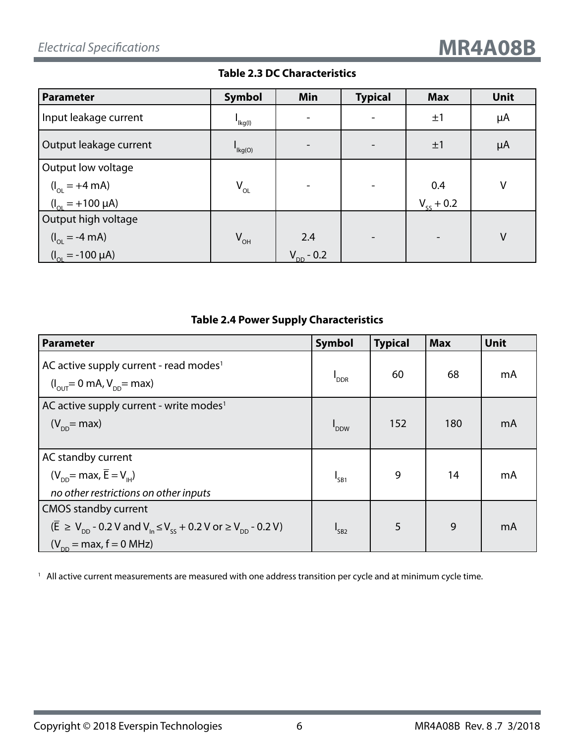**Table 2.3 DC Characteristics**

| Parameter                      | <b>Symbol</b>       | Min                      | <b>Typical</b> | <b>Max</b>         | <b>Unit</b> |
|--------------------------------|---------------------|--------------------------|----------------|--------------------|-------------|
| Input leakage current          | l<br>Ikg(l)         | $\overline{\phantom{a}}$ |                | ±1                 | μA          |
| Output leakage current         | $I_{\text{lkg}(O)}$ |                          |                | ±1                 | μA          |
| Output low voltage             |                     |                          |                |                    |             |
| $(I_{OL} = +4 \text{ mA})$     | $V_{OL}$            |                          |                | 0.4                | $\vee$      |
| $(I_{\odot}$ = +100 µA)        |                     |                          |                | $V_{\rm cc} + 0.2$ |             |
| Output high voltage            |                     |                          |                |                    |             |
| $(I_{OL} = -4 \text{ mA})$     | $V_{OH}$            | 2.4                      |                |                    | $\vee$      |
| $(I_{\text{OL}} = -100 \mu A)$ |                     | $V_{DD}$ - 0.2           |                |                    |             |

## **Table 2.4 Power Supply Characteristics**

| <b>Parameter</b>                                                                                                                      | <b>Symbol</b>    | <b>Typical</b> | <b>Max</b> | Unit |
|---------------------------------------------------------------------------------------------------------------------------------------|------------------|----------------|------------|------|
| AC active supply current - read modes <sup>1</sup><br>$(I_{\text{out}} = 0 \text{ mA}, V_{\text{on}} = \text{max})$                   | <b>DDR</b>       | 60             | 68         | mA   |
| AC active supply current - write modes <sup>1</sup>                                                                                   |                  |                |            |      |
| $(V_{\text{op}}$ = max)                                                                                                               | <b>DDW</b>       | 152            | 180        | mA   |
|                                                                                                                                       |                  |                |            |      |
| AC standby current                                                                                                                    |                  |                |            |      |
| $(V_{\text{DD}}$ = max, $\overline{E} = V_{\text{H}}$ )                                                                               | I <sub>SB1</sub> | 9              | 14         | mA   |
| no other restrictions on other inputs                                                                                                 |                  |                |            |      |
| <b>CMOS standby current</b>                                                                                                           |                  |                |            |      |
| $(\overline{E} \ge V_{\text{op}} - 0.2 V \text{ and } V_{\text{in}} \le V_{\text{sc}} + 0.2 V \text{ or } \ge V_{\text{op}} - 0.2 V)$ | $I_{SB2}$        | 5              | 9          | mA   |
| $(V_{\text{DD}} = \text{max}, f = 0 \text{ MHz})$                                                                                     |                  |                |            |      |

<sup>1</sup> All active current measurements are measured with one address transition per cycle and at minimum cycle time.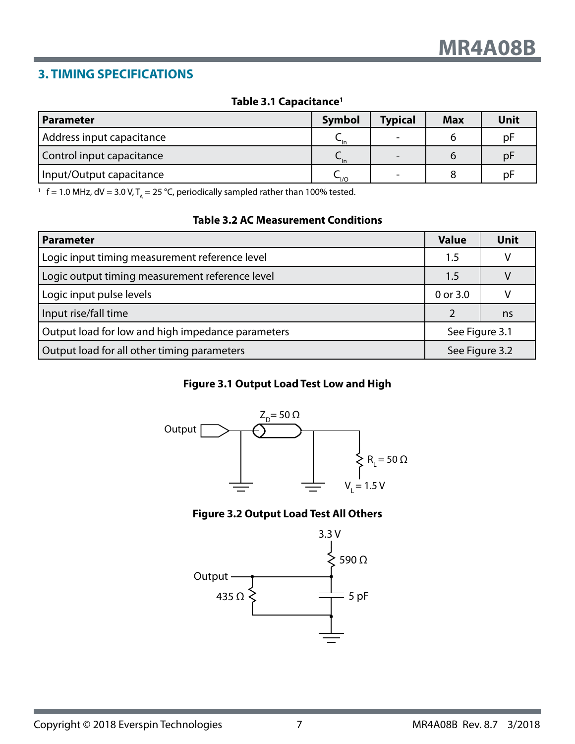## <span id="page-6-0"></span>**3. TIMING SPECIFICATIONS**

#### **Table 3.1 Capacitance1**

| l Parameter               | Symbol              | <b>Typical</b> | <b>Max</b> | Unit |
|---------------------------|---------------------|----------------|------------|------|
| Address input capacitance | $\mathsf{u}$        |                |            | pF   |
| Control input capacitance | $\mathsf{u}$        |                |            | pF   |
| Input/Output capacitance  | $\sim_{\text{I/O}}$ |                |            | рF   |

<sup>1</sup> f = 1.0 MHz, dV = 3.0 V, T<sub>A</sub> = 25 °C, periodically sampled rather than 100% tested.

#### **Table 3.2 AC Measurement Conditions**

| <b>Parameter</b>                                  | <b>Value</b>   | <b>Unit</b> |
|---------------------------------------------------|----------------|-------------|
| Logic input timing measurement reference level    | 1.5            |             |
| Logic output timing measurement reference level   | 1.5            |             |
| Logic input pulse levels                          | 0 or 3.0       |             |
| Input rise/fall time                              |                | ns          |
| Output load for low and high impedance parameters | See Figure 3.1 |             |
| Output load for all other timing parameters       | See Figure 3.2 |             |

### **Figure 3.1 Output Load Test Low and High**



### **Figure 3.2 Output Load Test All Others**

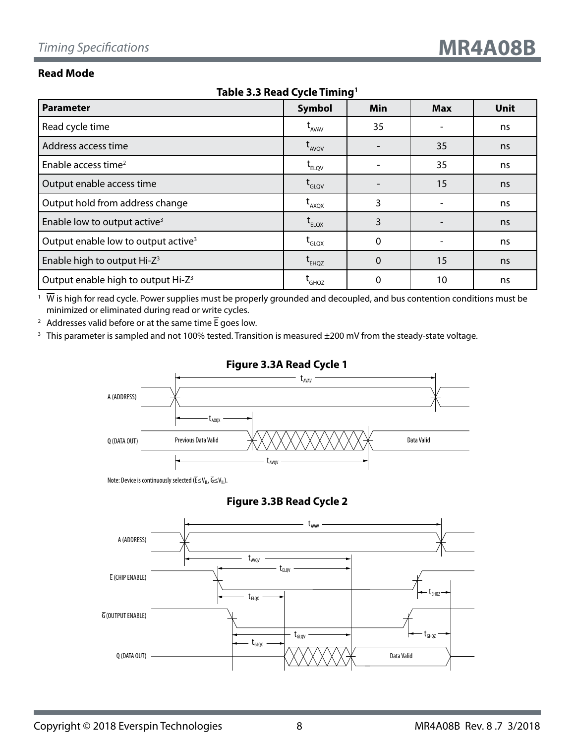#### **Read Mode**

| <b>18016 3.3 Read Cycle Thinny</b>              |                                    |             |            |             |  |  |  |
|-------------------------------------------------|------------------------------------|-------------|------------|-------------|--|--|--|
| <b>Parameter</b>                                | <b>Symbol</b>                      | Min         | <b>Max</b> | <b>Unit</b> |  |  |  |
| Read cycle time                                 | $L$ <sub>AVAV</sub>                | 35          |            | ns          |  |  |  |
| Address access time                             | $t_{AVQV}$                         |             | 35         | ns          |  |  |  |
| Enable access time <sup>2</sup>                 | $\mathsf{t}_{\text{\tiny{ELOV}}}$  |             | 35         | ns          |  |  |  |
| Output enable access time                       | L <sub>GLQV</sub>                  |             | 15         | ns          |  |  |  |
| Output hold from address change                 | $t_{AXQX}$                         | 3           |            | ns          |  |  |  |
| Enable low to output active <sup>3</sup>        | $\mathsf{t}_{\textsf{\tiny ELQX}}$ | 3           |            | ns          |  |  |  |
| Output enable low to output active <sup>3</sup> | $\mathsf{t}_{\mathsf{GLQX}}$       | $\mathbf 0$ |            | ns          |  |  |  |
| Enable high to output Hi-Z <sup>3</sup>         | $t_{EHQZ}$                         | $\mathbf 0$ | 15         | ns          |  |  |  |
| Output enable high to output Hi-Z <sup>3</sup>  | <b>L</b> GHOZ                      | 0           | 10         | ns          |  |  |  |

**Table 3.3 Read Cycle Timing1**

 $1\;\overline{W}$  is high for read cycle. Power supplies must be properly grounded and decoupled, and bus contention conditions must be minimized or eliminated during read or write cycles.

<sup>2</sup> Addresses valid before or at the same time  $\overline{E}$  goes low.

<sup>3</sup> This parameter is sampled and not 100% tested. Transition is measured ±200 mV from the steady-state voltage.



#### **Figure 3.3A Read Cycle 1**

Note: Device is continuously selected ( $\overline{\mathsf{E}} \leq \mathsf{V}_{\mathsf{IL}}, \overline{\mathsf{G}} \leq \mathsf{V}_{\mathsf{IL}}$ ).

#### **Figure 3.3B Read Cycle 2**

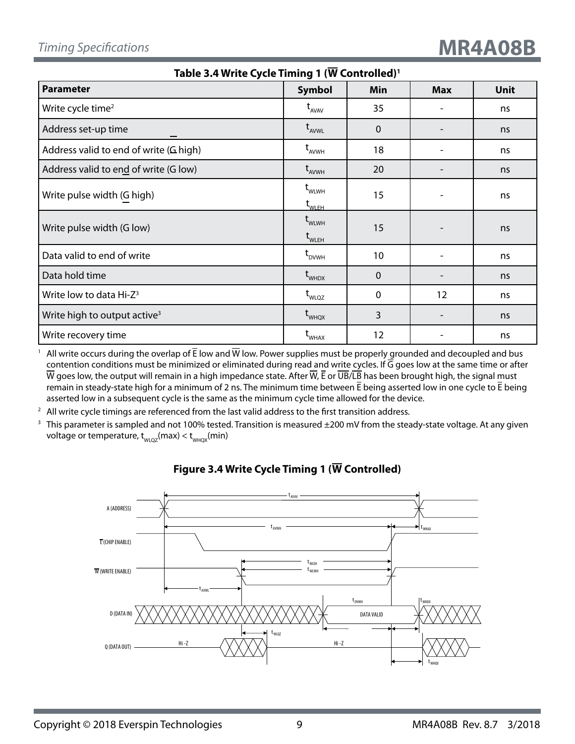| Table 3.4 Write Cycle Timing 1 (W Controlled) <sup>1</sup> |                                                                 |             |            |      |  |  |  |
|------------------------------------------------------------|-----------------------------------------------------------------|-------------|------------|------|--|--|--|
| <b>Parameter</b>                                           | <b>Symbol</b>                                                   | Min         | <b>Max</b> | Unit |  |  |  |
| Write cycle time <sup>2</sup>                              | $t_{AVAV}$                                                      | 35          |            | ns   |  |  |  |
| Address set-up time                                        | $t_{AVWL}$                                                      | $\Omega$    |            | ns   |  |  |  |
| Address valid to end of write (G high)                     | $t_{AVWH}$                                                      | 18          |            | ns   |  |  |  |
| Address valid to end of write (G low)                      | $t_{AVWH}$                                                      | 20          |            | ns   |  |  |  |
| Write pulse width (G high)                                 | $t_{\text{WLWH}}$<br>$\mathsf{t}_{\mathsf{wLEH}}$               | 15          |            | ns   |  |  |  |
| Write pulse width (G low)                                  | $\mathsf{t}_{\scriptscriptstyle \sf WLWH}$<br>$t_{\text{WLEH}}$ | 15          |            | ns   |  |  |  |
| Data valid to end of write                                 | $t_{DVMH}$                                                      | 10          |            | ns   |  |  |  |
| Data hold time                                             | $t_{\text{WHDX}}$                                               | $\mathbf 0$ |            | ns   |  |  |  |
| Write low to data Hi-Z <sup>3</sup>                        | $t_{WLQZ}$                                                      | 0           | 12         | ns   |  |  |  |
| Write high to output active <sup>3</sup>                   | $t_{\text{WHQX}}$                                               | 3           |            | ns   |  |  |  |
| Write recovery time                                        | $\mathsf{t}_{\mathsf{wHAX}}$                                    | 12          |            | ns   |  |  |  |

<sup>1</sup> All write occurs during the overlap of  $\overline{E}$  low and  $\overline{W}$  low. Power supplies must be properly grounded and decoupled and bus contention conditions must be minimized or eliminated during read and write cycles. If  $\overline{G}$  goes low at the same time or after  $\overline{W}$  goes low, the output will remain in a high impedance state. After  $\overline{W}$ ,  $\overline{E}$  or  $\overline{UB}/\overline{LB}$  has been brought high, the signal must remain in steady-state high for a minimum of 2 ns. The minimum time between  $\bar{E}$  being asserted low in one cycle to  $\bar{E}$  being asserted low in a subsequent cycle is the same as the minimum cycle time allowed for the device.

 $2$  All write cycle timings are referenced from the last valid address to the first transition address.

<sup>3</sup> This parameter is sampled and not 100% tested. Transition is measured ±200 mV from the steady-state voltage. At any given voltage or temperature,  $t_{WLOZ}(max) < t_{WHOX}(min)$ 



## **Figure 3.4 Write Cycle Timing 1 (W Controlled)**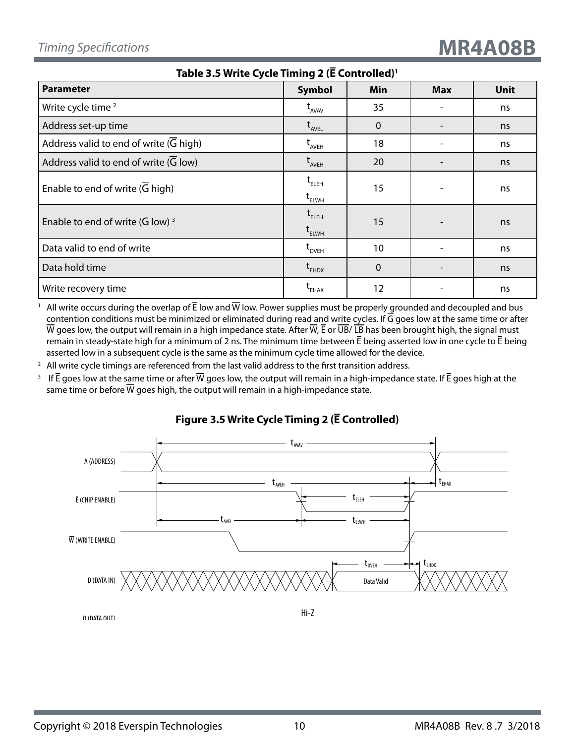| Table 3.5 Write Cycle Timing 2 (E Controlled) <sup>1</sup> |                                                                                                      |              |            |             |  |  |
|------------------------------------------------------------|------------------------------------------------------------------------------------------------------|--------------|------------|-------------|--|--|
| <b>Parameter</b>                                           | <b>Symbol</b>                                                                                        | Min          | <b>Max</b> | <b>Unit</b> |  |  |
| Write cycle time <sup>2</sup>                              | $t_{AVAV}$                                                                                           | 35           |            | ns          |  |  |
| Address set-up time                                        | $\operatorname{t}_{\scriptscriptstyle \sf{AVEL}}$                                                    | $\mathbf{0}$ |            | ns          |  |  |
| Address valid to end of write $(G$ high)                   | $t_{AVEH}$                                                                                           | 18           |            | ns          |  |  |
| Address valid to end of write (G low)                      | $t_{AVEH}$                                                                                           | 20           |            | ns          |  |  |
| Enable to end of write $(G$ high)                          | $t_{ELEH}$<br>$\mathsf{t}_{\text{\tiny{ELWH}}}$                                                      | 15           |            | ns          |  |  |
| Enable to end of write (G low) $3$                         | $\operatorname{\mathsf{t}}_{\scriptscriptstyle\mathsf{ELEH}}$<br>$\mathfrak{t}_{\text{\tiny{ELWH}}}$ | 15           |            | ns          |  |  |
| Data valid to end of write                                 | L <sub>DVEH</sub>                                                                                    | 10           |            | ns          |  |  |
| Data hold time                                             | $t_{EHDX}$                                                                                           | $\mathbf 0$  |            | ns          |  |  |
| Write recovery time                                        | $\mathsf{t}_{\mathsf{EHAX}}$                                                                         | 12           |            | ns          |  |  |

All write occurs during the overlap of  $\bar{E}$  low and  $\bar{W}$  low. Power supplies must be properly grounded and decoupled and bus contention conditions must be minimized or eliminated during read and write cycles. If  $\overline{G}$  goes low at the same time or after  $\overline{W}$  goes low, the output will remain in a high impedance state. After  $\overline{W}$ , E or  $\overline{UB}$  LB has been brought high, the signal must remain in steady-state high for a minimum of 2 ns. The minimum time between  $\bar{E}$  being asserted low in one cycle to  $\bar{E}$  being asserted low in a subsequent cycle is the same as the minimum cycle time allowed for the device.

 $2$  All write cycle timings are referenced from the last valid address to the first transition address.

<sup>3</sup> If  $\bar{E}$  goes low at the same time or after  $\bar{W}$  goes low, the output will remain in a high-impedance state. If  $\bar{E}$  goes high at the same time or before  $\overline{W}$  goes high, the output will remain in a high-impedance state.





Q (DATA OUT)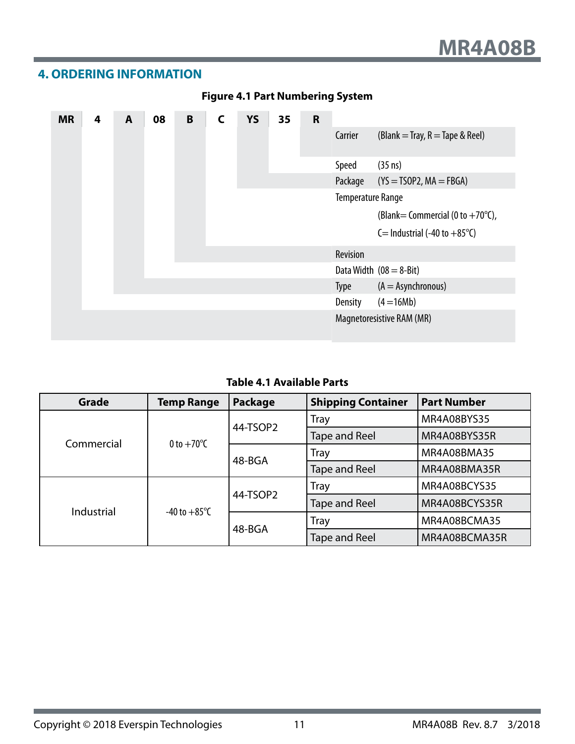## <span id="page-10-0"></span>**4. ORDERING INFORMATION**

| <b>MR</b> | 4 | A | 08 | B |  | <b>YS</b> | 35 | $\mathsf{R}$ |                   |                                                        |
|-----------|---|---|----|---|--|-----------|----|--------------|-------------------|--------------------------------------------------------|
|           |   |   |    |   |  |           |    |              | Carrier           | (Blank = Tray, $R$ = Tape & Reel)                      |
|           |   |   |    |   |  |           |    |              | Speed             | $(35 \text{ ns})$                                      |
|           |   |   |    |   |  |           |    |              | Package           | $(YS = TSOP2, MA = FBGA)$                              |
|           |   |   |    |   |  |           |    |              | Temperature Range |                                                        |
|           |   |   |    |   |  |           |    |              |                   | (Blank = Commercial (0 to $+70^{\circ}$ C),            |
|           |   |   |    |   |  |           |    |              |                   | C = Industrial $(-40 \text{ to } +85^{\circ}\text{C})$ |
|           |   |   |    |   |  |           |    |              | Revision          |                                                        |
|           |   |   |    |   |  |           |    |              |                   | Data Width $(08 = 8$ -Bit)                             |
|           |   |   |    |   |  |           |    |              | Type              | $(A = Asynchronous)$                                   |
|           |   |   |    |   |  |           |    |              | <b>Density</b>    | $(4 = 16Mb)$                                           |
|           |   |   |    |   |  |           |    |              |                   | Magnetoresistive RAM (MR)                              |

## **Figure 4.1 Part Numbering System**

## **Table 4.1 Available Parts**

| <b>Grade</b> | <b>Temp Range</b>      | Package  | <b>Shipping Container</b> | <b>Part Number</b> |
|--------------|------------------------|----------|---------------------------|--------------------|
|              | 0 to $+70^{\circ}$ C   | 44-TSOP2 | <b>Tray</b>               | MR4A08BYS35        |
| Commercial   |                        |          | <b>Tape and Reel</b>      | MR4A08BYS35R       |
|              |                        | 48-BGA   | <b>Tray</b>               | MR4A08BMA35        |
|              |                        |          | <b>Tape and Reel</b>      | MR4A08BMA35R       |
|              | -40 to $+85^{\circ}$ C |          | Tray                      | MR4A08BCYS35       |
| Industrial   |                        | 44-TSOP2 | <b>Tape and Reel</b>      | MR4A08BCYS35R      |
|              |                        |          | <b>Tray</b>               | MR4A08BCMA35       |
|              |                        | 48-BGA   | <b>Tape and Reel</b>      | MR4A08BCMA35R      |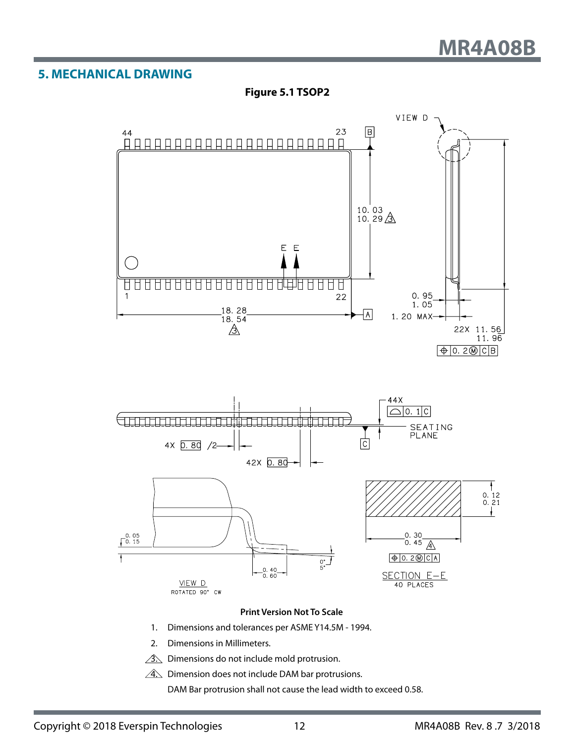## <span id="page-11-0"></span>**5. MECHANICAL DRAWING**







#### **Print Version Not To Scale**

- 1. Dimensions and tolerances per ASME Y14.5M 1994.
- 2. Dimensions in Millimeters.
- $\hat{3}$ . Dimensions do not include mold protrusion.
- $\hat{A}$ . Dimension does not include DAM bar protrusions.

DAM Bar protrusion shall not cause the lead width to exceed 0.58.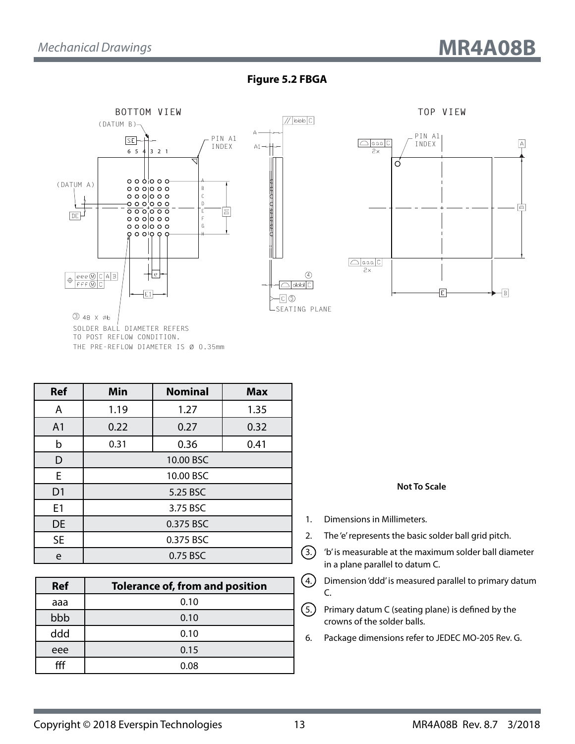#### **Figure 5.2 FBGA**



**Ref Min Nominal Max** A 1.19 1.27 1.35 A1 0.22 0.27 0.32

|                | 0.31      | 0.36     | 0.41 |  |  |  |
|----------------|-----------|----------|------|--|--|--|
|                | 10.00 BSC |          |      |  |  |  |
| F.             | 10.00 BSC |          |      |  |  |  |
| D <sub>1</sub> |           | 5.25 BSC |      |  |  |  |
| E1             |           | 3.75 BSC |      |  |  |  |
| <b>DE</b>      |           |          |      |  |  |  |
| <b>SE</b>      | 0.375 BSC |          |      |  |  |  |
| A              |           | 0.75 BSC |      |  |  |  |

| <b>Ref</b> | <b>Tolerance of, from and position</b> |
|------------|----------------------------------------|
| aaa        | 0.10                                   |
| bbb        | 0.10                                   |
| ddd        | 0.10                                   |
| eee        | 0.15                                   |
| fff        | 0.08                                   |

**Not To Scale**

- 1. Dimensions in Millimeters.
- 2. The 'e' represents the basic solder ball grid pitch.
- $(3.)$  'b' is measurable at the maximum solder ball diameter in a plane parallel to datum C.
- $(4.)$  Dimension 'ddd' is measured parallel to primary datum C.
- $(5.)$  Primary datum C (seating plane) is defined by the crowns of the solder balls.
- 6. Package dimensions refer to JEDEC MO-205 Rev. G.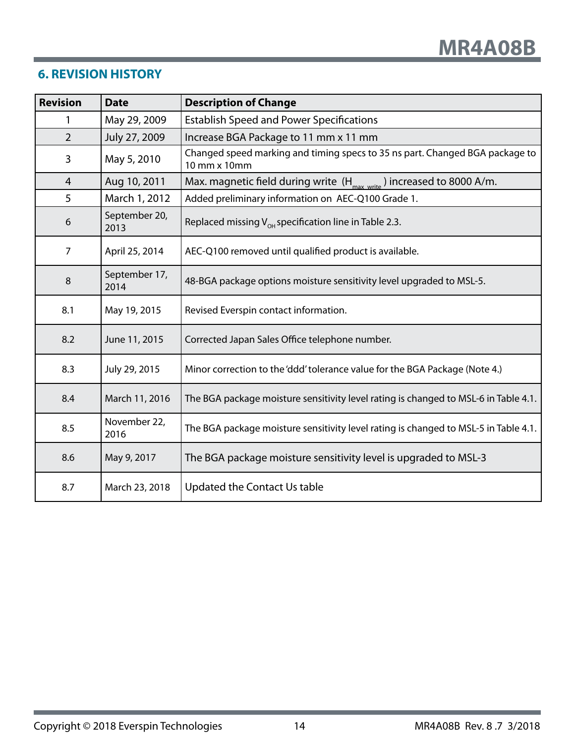## <span id="page-13-0"></span>**6. REVISION HISTORY**

| <b>Revision</b>                 | <b>Date</b>           | <b>Description of Change</b>                                                                 |  |  |
|---------------------------------|-----------------------|----------------------------------------------------------------------------------------------|--|--|
| 1                               | May 29, 2009          | <b>Establish Speed and Power Specifications</b>                                              |  |  |
| $\overline{2}$<br>July 27, 2009 |                       | Increase BGA Package to 11 mm x 11 mm                                                        |  |  |
| 3                               | May 5, 2010           | Changed speed marking and timing specs to 35 ns part. Changed BGA package to<br>10 mm x 10mm |  |  |
| $\overline{4}$                  | Aug 10, 2011          | Max. magnetic field during write $(H_{max \text{ write}})$ increased to 8000 A/m.            |  |  |
| 5                               | March 1, 2012         | Added preliminary information on AEC-Q100 Grade 1.                                           |  |  |
| 6                               | September 20,<br>2013 | Replaced missing $V_{OH}$ specification line in Table 2.3.                                   |  |  |
| $\overline{7}$                  | April 25, 2014        | AEC-Q100 removed until qualified product is available.                                       |  |  |
| 8                               | September 17,<br>2014 | 48-BGA package options moisture sensitivity level upgraded to MSL-5.                         |  |  |
| 8.1                             | May 19, 2015          | Revised Everspin contact information.                                                        |  |  |
| 8.2                             | June 11, 2015         | Corrected Japan Sales Office telephone number.                                               |  |  |
| 8.3                             | July 29, 2015         | Minor correction to the 'ddd' tolerance value for the BGA Package (Note 4.)                  |  |  |
| 8.4                             | March 11, 2016        | The BGA package moisture sensitivity level rating is changed to MSL-6 in Table 4.1.          |  |  |
| 8.5                             | November 22,<br>2016  | The BGA package moisture sensitivity level rating is changed to MSL-5 in Table 4.1.          |  |  |
| 8.6                             | May 9, 2017           | The BGA package moisture sensitivity level is upgraded to MSL-3                              |  |  |
| 8.7                             | March 23, 2018        | <b>Updated the Contact Us table</b>                                                          |  |  |